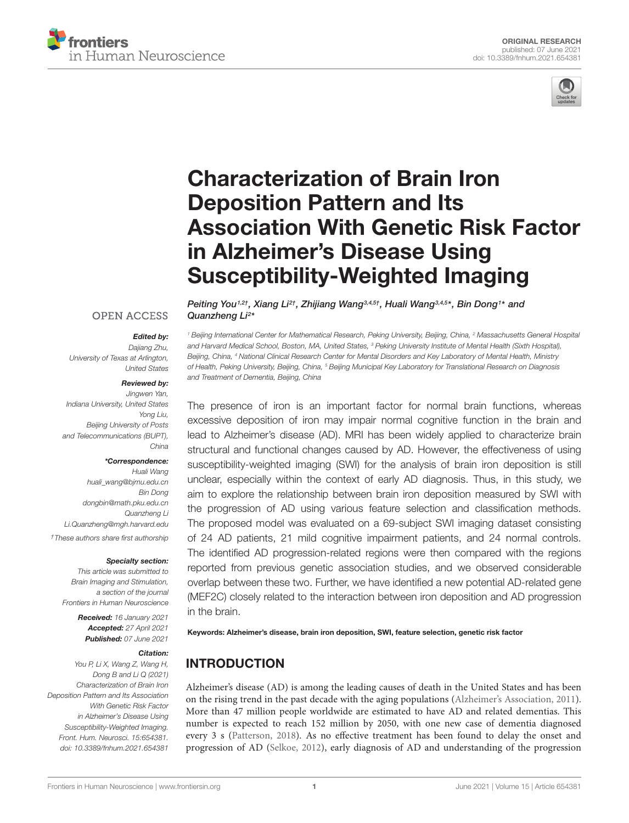



# Characterization of Brain Iron Deposition Pattern and Its [Association With Genetic Risk Factor](https://www.frontiersin.org/articles/10.3389/fnhum.2021.654381/full) in Alzheimer's Disease Using Susceptibility-Weighted Imaging

## **OPEN ACCESS**

#### Edited by:

Quanzheng Li<sup>2\*</sup>

Dajiang Zhu, University of Texas at Arlington, United States

#### Reviewed by:

Jingwen Yan, Indiana University, United States Yong Liu, Beijing University of Posts and Telecommunications (BUPT), China

#### \*Correspondence:

Huali Wang huali\_wang@bjmu.edu.cn Bin Dong dongbin@math.pku.edu.cn Quanzheng Li Li.Quanzheng@mgh.harvard.edu †These authors share first authorship

#### Specialty section:

This article was submitted to Brain Imaging and Stimulation, a section of the journal Frontiers in Human Neuroscience

> Received: 16 January 2021 Accepted: 27 April 2021 Published: 07 June 2021

#### Citation:

You P, Li X, Wang Z, Wang H, Dong B and Li Q (2021) Characterization of Brain Iron Deposition Pattern and Its Association With Genetic Risk Factor in Alzheimer's Disease Using Susceptibility-Weighted Imaging. Front. Hum. Neurosci. 15:654381. doi: [10.3389/fnhum.2021.654381](https://doi.org/10.3389/fnhum.2021.654381)

<sup>1</sup> Beijing International Center for Mathematical Research, Peking University, Beijing, China, <sup>2</sup> Massachusetts General Hospital and Harvard Medical School, Boston, MA, United States, <sup>3</sup> Peking University Institute of Mental Health (Sixth Hospital), Beijing, China, <sup>4</sup> National Clinical Research Center for Mental Disorders and Key Laboratory of Mental Health, Ministry of Health, Peking University, Beijing, China, <sup>5</sup> Beijing Municipal Key Laboratory for Translational Research on Diagnosis and Treatment of Dementia, Beijing, China

Peiting You<sup>1,2†</sup>, Xiang Li<sup>2†</sup>, Zhijiang Wang<sup>3,4,5†</sup>, Huali Wang<sup>3,4,5\*</sup>, Bin Dong1\* and

The presence of iron is an important factor for normal brain functions, whereas excessive deposition of iron may impair normal cognitive function in the brain and lead to Alzheimer's disease (AD). MRI has been widely applied to characterize brain structural and functional changes caused by AD. However, the effectiveness of using susceptibility-weighted imaging (SWI) for the analysis of brain iron deposition is still unclear, especially within the context of early AD diagnosis. Thus, in this study, we aim to explore the relationship between brain iron deposition measured by SWI with the progression of AD using various feature selection and classification methods. The proposed model was evaluated on a 69-subject SWI imaging dataset consisting of 24 AD patients, 21 mild cognitive impairment patients, and 24 normal controls. The identified AD progression-related regions were then compared with the regions reported from previous genetic association studies, and we observed considerable overlap between these two. Further, we have identified a new potential AD-related gene (MEF2C) closely related to the interaction between iron deposition and AD progression in the brain.

Keywords: Alzheimer's disease, brain iron deposition, SWI, feature selection, genetic risk factor

# INTRODUCTION

Alzheimer's disease (AD) is among the leading causes of death in the United States and has been on the rising trend in the past decade with the aging populations [\(Alzheimer's Association,](#page-7-0) [2011\)](#page-7-0). More than 47 million people worldwide are estimated to have AD and related dementias. This number is expected to reach 152 million by 2050, with one new case of dementia diagnosed every 3 s [\(Patterson,](#page-7-1) [2018\)](#page-7-1). As no effective treatment has been found to delay the onset and progression of AD [\(Selkoe,](#page-7-2) [2012\)](#page-7-2), early diagnosis of AD and understanding of the progression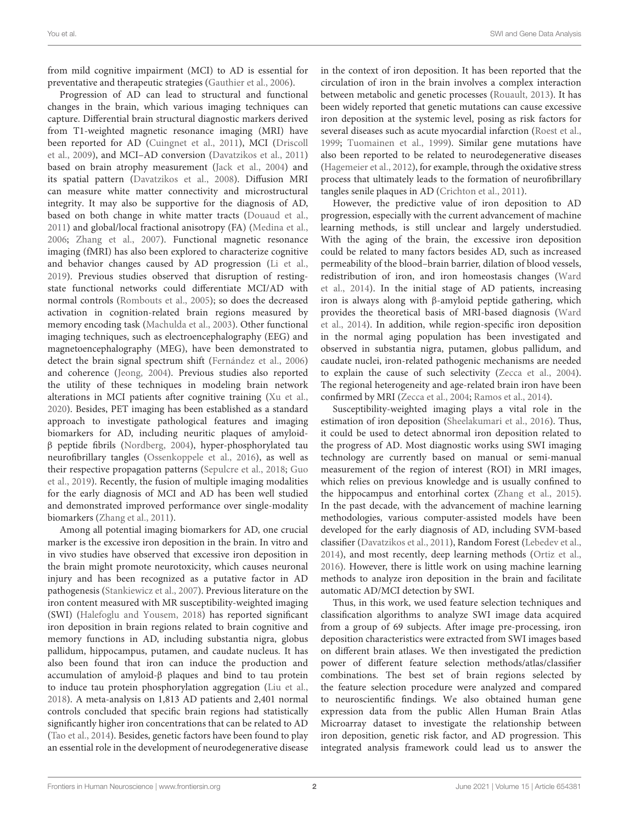from mild cognitive impairment (MCI) to AD is essential for preventative and therapeutic strategies [\(Gauthier et al.,](#page-7-3) [2006\)](#page-7-3).

Progression of AD can lead to structural and functional changes in the brain, which various imaging techniques can capture. Differential brain structural diagnostic markers derived from T1-weighted magnetic resonance imaging (MRI) have been reported for AD [\(Cuingnet et al.,](#page-7-4) [2011\)](#page-7-4), MCI [\(Driscoll](#page-7-5) [et al.,](#page-7-5) [2009\)](#page-7-5), and MCI–AD conversion [\(Davatzikos et al.,](#page-7-6) [2011\)](#page-7-6) based on brain atrophy measurement [\(Jack et al.,](#page-7-7) [2004\)](#page-7-7) and its spatial pattern [\(Davatzikos et al.,](#page-7-8) [2008\)](#page-7-8). Diffusion MRI can measure white matter connectivity and microstructural integrity. It may also be supportive for the diagnosis of AD, based on both change in white matter tracts [\(Douaud et al.,](#page-7-9) [2011\)](#page-7-9) and global/local fractional anisotropy (FA) [\(Medina et al.,](#page-7-10) [2006;](#page-7-10) [Zhang et al.,](#page-8-0) [2007\)](#page-8-0). Functional magnetic resonance imaging (fMRI) has also been explored to characterize cognitive and behavior changes caused by AD progression [\(Li et al.,](#page-7-11) [2019\)](#page-7-11). Previous studies observed that disruption of restingstate functional networks could differentiate MCI/AD with normal controls [\(Rombouts et al.,](#page-7-12) [2005\)](#page-7-12); so does the decreased activation in cognition-related brain regions measured by memory encoding task [\(Machulda et al.,](#page-7-13) [2003\)](#page-7-13). Other functional imaging techniques, such as electroencephalography (EEG) and magnetoencephalography (MEG), have been demonstrated to detect the brain signal spectrum shift [\(Fernández et al.,](#page-7-14) [2006\)](#page-7-14) and coherence [\(Jeong,](#page-7-15) [2004\)](#page-7-15). Previous studies also reported the utility of these techniques in modeling brain network alterations in MCI patients after cognitive training [\(Xu et al.,](#page-8-1) [2020\)](#page-8-1). Besides, PET imaging has been established as a standard approach to investigate pathological features and imaging biomarkers for AD, including neuritic plaques of amyloidβ peptide fibrils [\(Nordberg,](#page-7-16) [2004\)](#page-7-16), hyper-phosphorylated tau neurofibrillary tangles [\(Ossenkoppele et al.,](#page-7-17) [2016\)](#page-7-17), as well as their respective propagation patterns [\(Sepulcre et al.,](#page-8-2) [2018;](#page-8-2) [Guo](#page-7-18) [et al.,](#page-7-18) [2019\)](#page-7-18). Recently, the fusion of multiple imaging modalities for the early diagnosis of MCI and AD has been well studied and demonstrated improved performance over single-modality biomarkers [\(Zhang et al.,](#page-8-3) [2011\)](#page-8-3).

Among all potential imaging biomarkers for AD, one crucial marker is the excessive iron deposition in the brain. In vitro and in vivo studies have observed that excessive iron deposition in the brain might promote neurotoxicity, which causes neuronal injury and has been recognized as a putative factor in AD pathogenesis [\(Stankiewicz et al.,](#page-8-4) [2007\)](#page-8-4). Previous literature on the iron content measured with MR susceptibility-weighted imaging (SWI) [\(Halefoglu and Yousem,](#page-7-19) [2018\)](#page-7-19) has reported significant iron deposition in brain regions related to brain cognitive and memory functions in AD, including substantia nigra, globus pallidum, hippocampus, putamen, and caudate nucleus. It has also been found that iron can induce the production and accumulation of amyloid-β plaques and bind to tau protein to induce tau protein phosphorylation aggregation [\(Liu et al.,](#page-7-20) [2018\)](#page-7-20). A meta-analysis on 1,813 AD patients and 2,401 normal controls concluded that specific brain regions had statistically significantly higher iron concentrations that can be related to AD [\(Tao et al.,](#page-8-5) [2014\)](#page-8-5). Besides, genetic factors have been found to play an essential role in the development of neurodegenerative disease in the context of iron deposition. It has been reported that the circulation of iron in the brain involves a complex interaction between metabolic and genetic processes [\(Rouault,](#page-7-21) [2013\)](#page-7-21). It has been widely reported that genetic mutations can cause excessive iron deposition at the systemic level, posing as risk factors for several diseases such as acute myocardial infarction [\(Roest et al.,](#page-7-22) [1999;](#page-7-22) [Tuomainen et al.,](#page-8-6) [1999\)](#page-8-6). Similar gene mutations have also been reported to be related to neurodegenerative diseases [\(Hagemeier et al.,](#page-7-23) [2012\)](#page-7-23), for example, through the oxidative stress process that ultimately leads to the formation of neurofibrillary tangles senile plaques in AD [\(Crichton et al.,](#page-7-24) [2011\)](#page-7-24).

However, the predictive value of iron deposition to AD progression, especially with the current advancement of machine learning methods, is still unclear and largely understudied. With the aging of the brain, the excessive iron deposition could be related to many factors besides AD, such as increased permeability of the blood–brain barrier, dilation of blood vessels, redistribution of iron, and iron homeostasis changes [\(Ward](#page-8-7) [et al.,](#page-8-7) [2014\)](#page-8-7). In the initial stage of AD patients, increasing iron is always along with β-amyloid peptide gathering, which provides the theoretical basis of MRI-based diagnosis [\(Ward](#page-8-7) [et al.,](#page-8-7) [2014\)](#page-8-7). In addition, while region-specific iron deposition in the normal aging population has been investigated and observed in substantia nigra, putamen, globus pallidum, and caudate nuclei, iron-related pathogenic mechanisms are needed to explain the cause of such selectivity [\(Zecca et al.,](#page-8-8) [2004\)](#page-8-8). The regional heterogeneity and age-related brain iron have been confirmed by MRI [\(Zecca et al.,](#page-8-8) [2004;](#page-8-8) [Ramos et al.,](#page-7-25) [2014\)](#page-7-25).

Susceptibility-weighted imaging plays a vital role in the estimation of iron deposition [\(Sheelakumari et al.,](#page-8-9) [2016\)](#page-8-9). Thus, it could be used to detect abnormal iron deposition related to the progress of AD. Most diagnostic works using SWI imaging technology are currently based on manual or semi-manual measurement of the region of interest (ROI) in MRI images, which relies on previous knowledge and is usually confined to the hippocampus and entorhinal cortex [\(Zhang et al.,](#page-8-10) [2015\)](#page-8-10). In the past decade, with the advancement of machine learning methodologies, various computer-assisted models have been developed for the early diagnosis of AD, including SVM-based classifier [\(Davatzikos et al.,](#page-7-6) [2011\)](#page-7-6), Random Forest [\(Lebedev et al.,](#page-7-26) [2014\)](#page-7-26), and most recently, deep learning methods [\(Ortiz et al.,](#page-7-27) [2016\)](#page-7-27). However, there is little work on using machine learning methods to analyze iron deposition in the brain and facilitate automatic AD/MCI detection by SWI.

Thus, in this work, we used feature selection techniques and classification algorithms to analyze SWI image data acquired from a group of 69 subjects. After image pre-processing, iron deposition characteristics were extracted from SWI images based on different brain atlases. We then investigated the prediction power of different feature selection methods/atlas/classifier combinations. The best set of brain regions selected by the feature selection procedure were analyzed and compared to neuroscientific findings. We also obtained human gene expression data from the public Allen Human Brain Atlas Microarray dataset to investigate the relationship between iron deposition, genetic risk factor, and AD progression. This integrated analysis framework could lead us to answer the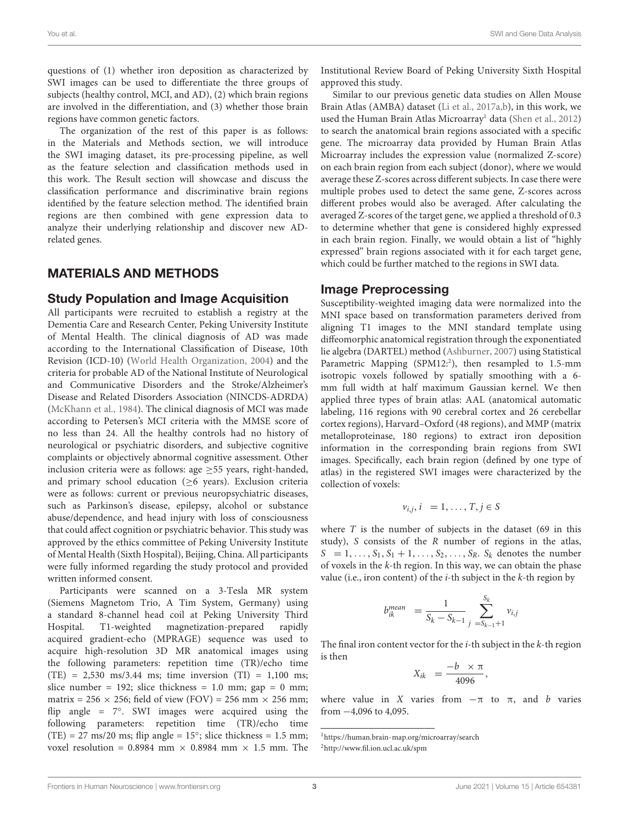questions of (1) whether iron deposition as characterized by SWI images can be used to differentiate the three groups of subjects (healthy control, MCI, and AD), (2) which brain regions are involved in the differentiation, and (3) whether those brain regions have common genetic factors.

The organization of the rest of this paper is as follows: in the Materials and Methods section, we will introduce the SWI imaging dataset, its pre-processing pipeline, as well as the feature selection and classification methods used in this work. The Result section will showcase and discuss the classification performance and discriminative brain regions identified by the feature selection method. The identified brain regions are then combined with gene expression data to analyze their underlying relationship and discover new ADrelated genes.

## MATERIALS AND METHODS

#### Study Population and Image Acquisition

All participants were recruited to establish a registry at the Dementia Care and Research Center, Peking University Institute of Mental Health. The clinical diagnosis of AD was made according to the International Classification of Disease, 10th Revision (ICD-10) [\(World Health Organization,](#page-8-11) [2004\)](#page-8-11) and the criteria for probable AD of the National Institute of Neurological and Communicative Disorders and the Stroke/Alzheimer's Disease and Related Disorders Association (NINCDS-ADRDA) [\(McKhann et al.,](#page-7-28) [1984\)](#page-7-28). The clinical diagnosis of MCI was made according to Petersen's MCI criteria with the MMSE score of no less than 24. All the healthy controls had no history of neurological or psychiatric disorders, and subjective cognitive complaints or objectively abnormal cognitive assessment. Other inclusion criteria were as follows: age  $\geq$  55 years, right-handed, and primary school education ( $\geq$ 6 years). Exclusion criteria were as follows: current or previous neuropsychiatric diseases, such as Parkinson's disease, epilepsy, alcohol or substance abuse/dependence, and head injury with loss of consciousness that could affect cognition or psychiatric behavior. This study was approved by the ethics committee of Peking University Institute of Mental Health (Sixth Hospital), Beijing, China. All participants were fully informed regarding the study protocol and provided written informed consent.

Participants were scanned on a 3-Tesla MR system (Siemens Magnetom Trio, A Tim System, Germany) using a standard 8-channel head coil at Peking University Third Hospital. T1-weighted magnetization-prepared rapidly acquired gradient-echo (MPRAGE) sequence was used to acquire high-resolution 3D MR anatomical images using the following parameters: repetition time (TR)/echo time  $(TE) = 2,530$  ms/3.44 ms; time inversion  $(TI) = 1,100$  ms; slice number = 192; slice thickness = 1.0 mm; gap = 0 mm; matrix = 256  $\times$  256; field of view (FOV) = 256 mm  $\times$  256 mm; flip angle = 7°. SWI images were acquired using the following parameters: repetition time (TR)/echo time (TE) =  $27 \text{ ms}/20 \text{ ms}$ ; flip angle =  $15^{\circ}$ ; slice thickness = 1.5 mm; voxel resolution = 0.8984 mm  $\times$  0.8984 mm  $\times$  1.5 mm. The Institutional Review Board of Peking University Sixth Hospital approved this study.

Similar to our previous genetic data studies on Allen Mouse Brain Atlas (AMBA) dataset [\(Li et al.,](#page-7-29) [2017a,](#page-7-29)[b\)](#page-7-30), in this work, we used the Human Brain Atlas Microarray<sup>[1](#page-2-0)</sup> data [\(Shen et al.,](#page-8-12) [2012\)](#page-8-12) to search the anatomical brain regions associated with a specific gene. The microarray data provided by Human Brain Atlas Microarray includes the expression value (normalized Z-score) on each brain region from each subject (donor), where we would average these Z-scores across different subjects. In case there were multiple probes used to detect the same gene, Z-scores across different probes would also be averaged. After calculating the averaged Z-scores of the target gene, we applied a threshold of 0.3 to determine whether that gene is considered highly expressed in each brain region. Finally, we would obtain a list of "highly expressed" brain regions associated with it for each target gene, which could be further matched to the regions in SWI data.

#### Image Preprocessing

Susceptibility-weighted imaging data were normalized into the MNI space based on transformation parameters derived from aligning T1 images to the MNI standard template using diffeomorphic anatomical registration through the exponentiated lie algebra (DARTEL) method [\(Ashburner,](#page-7-31) [2007\)](#page-7-31) using Statistical Parametric Mapping (SPM1[2](#page-2-1):<sup>2</sup>), then resampled to 1.5-mm isotropic voxels followed by spatially smoothing with a 6 mm full width at half maximum Gaussian kernel. We then applied three types of brain atlas: AAL (anatomical automatic labeling, 116 regions with 90 cerebral cortex and 26 cerebellar cortex regions), Harvard–Oxford (48 regions), and MMP (matrix metalloproteinase, 180 regions) to extract iron deposition information in the corresponding brain regions from SWI images. Specifically, each brain region (defined by one type of atlas) in the registered SWI images were characterized by the collection of voxels:

$$
v_{i,j}, i = 1, \ldots, T, j \in S
$$

where  $T$  is the number of subjects in the dataset (69 in this study), S consists of the R number of regions in the atlas,  $S = 1, \ldots, S_1, S_1 + 1, \ldots, S_2, \ldots, S_R$ .  $S_k$  denotes the number of voxels in the  $k$ -th region. In this way, we can obtain the phase value (i.e., iron content) of the  $i$ -th subject in the  $k$ -th region by

$$
b_{ik}^{mean} = \frac{1}{S_k - S_{k-1}} \sum_{j= S_{k-1}+1}^{S_k} v_{i,j}
$$

The final iron content vector for the  $i$ -th subject in the  $k$ -th region is then

$$
X_{ik} = \frac{-b \times \pi}{4096},
$$

where value in X varies from  $-\pi$  to  $\pi$ , and b varies from −4,096 to 4,095.

<span id="page-2-0"></span><sup>1</sup><https://human.brain-map.org/microarray/search>

<span id="page-2-1"></span><sup>2</sup><http://www.fil.ion.ucl.ac.uk/spm>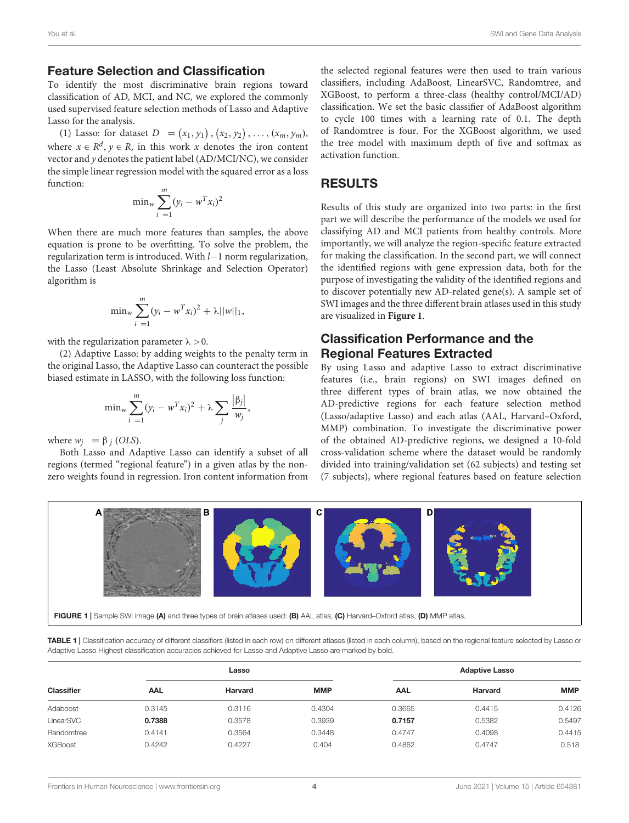#### Feature Selection and Classification

To identify the most discriminative brain regions toward classification of AD, MCI, and NC, we explored the commonly used supervised feature selection methods of Lasso and Adaptive Lasso for the analysis.

(1) Lasso: for dataset  $D = (x_1, y_1), (x_2, y_2), ..., (x_m, y_m)$ , where  $x \in \mathbb{R}^d$ ,  $y \in \mathbb{R}$ , in this work x denotes the iron content vector and y denotes the patient label (AD/MCI/NC), we consider the simple linear regression model with the squared error as a loss function:

$$
\min_{w} \sum_{i=1}^{m} (y_i - w^T x_i)^2
$$

When there are much more features than samples, the above equation is prone to be overfitting. To solve the problem, the regularization term is introduced. With l−1 norm regularization, the Lasso (Least Absolute Shrinkage and Selection Operator) algorithm is

$$
\min_{w} \sum_{i=1}^{m} (y_i - w^T x_i)^2 + \lambda ||w||_1,
$$

with the regularization parameter  $\lambda > 0$ .

(2) Adaptive Lasso: by adding weights to the penalty term in the original Lasso, the Adaptive Lasso can counteract the possible biased estimate in LASSO, with the following loss function:

$$
\min_{w} \sum_{i=1}^{m} (y_i - w^T x_i)^2 + \lambda \sum_{j} \frac{|\beta_j|}{w_j},
$$

where  $w_i = \beta_i (OLS)$ .

Both Lasso and Adaptive Lasso can identify a subset of all regions (termed "regional feature") in a given atlas by the nonzero weights found in regression. Iron content information from the selected regional features were then used to train various classifiers, including AdaBoost, LinearSVC, Randomtree, and XGBoost, to perform a three-class (healthy control/MCI/AD) classification. We set the basic classifier of AdaBoost algorithm to cycle 100 times with a learning rate of 0.1. The depth of Randomtree is four. For the XGBoost algorithm, we used the tree model with maximum depth of five and softmax as activation function.

## RESULTS

Results of this study are organized into two parts: in the first part we will describe the performance of the models we used for classifying AD and MCI patients from healthy controls. More importantly, we will analyze the region-specific feature extracted for making the classification. In the second part, we will connect the identified regions with gene expression data, both for the purpose of investigating the validity of the identified regions and to discover potentially new AD-related gene(s). A sample set of SWI images and the three different brain atlases used in this study are visualized in **[Figure 1](#page-3-0)**.

## Classification Performance and the Regional Features Extracted

By using Lasso and adaptive Lasso to extract discriminative features (i.e., brain regions) on SWI images defined on three different types of brain atlas, we now obtained the AD-predictive regions for each feature selection method (Lasso/adaptive Lasso) and each atlas (AAL, Harvard–Oxford, MMP) combination. To investigate the discriminative power of the obtained AD-predictive regions, we designed a 10-fold cross-validation scheme where the dataset would be randomly divided into training/validation set (62 subjects) and testing set (7 subjects), where regional features based on feature selection



FIGURE 1 | Sample SWI image (A) and three types of brain atlases used: (B) AAL atlas, (C) Harvard–Oxford atlas, (D) MMP atlas.

<span id="page-3-1"></span><span id="page-3-0"></span>TABLE 1 | Classification accuracy of different classifiers (listed in each row) on different atlases (listed in each column), based on the regional feature selected by Lasso or Adaptive Lasso Highest classification accuracies achieved for Lasso and Adaptive Lasso are marked by bold.

| <b>Classifier</b> |            | Lasso   |            | <b>Adaptive Lasso</b> |         |            |  |  |  |  |
|-------------------|------------|---------|------------|-----------------------|---------|------------|--|--|--|--|
|                   | <b>AAL</b> | Harvard | <b>MMP</b> | <b>AAL</b>            | Harvard | <b>MMP</b> |  |  |  |  |
| Adaboost          | 0.3145     | 0.3116  | 0.4304     | 0.3665                | 0.4415  | 0.4126     |  |  |  |  |
| LinearSVC         | 0.7388     | 0.3578  | 0.3939     | 0.7157                | 0.5382  | 0.5497     |  |  |  |  |
| Randomtree        | 0.4141     | 0.3564  | 0.3448     | 0.4747                | 0.4098  | 0.4415     |  |  |  |  |
| <b>XGBoost</b>    | 0.4242     | 0.4227  | 0.404      | 0.4862                | 0.4747  | 0.518      |  |  |  |  |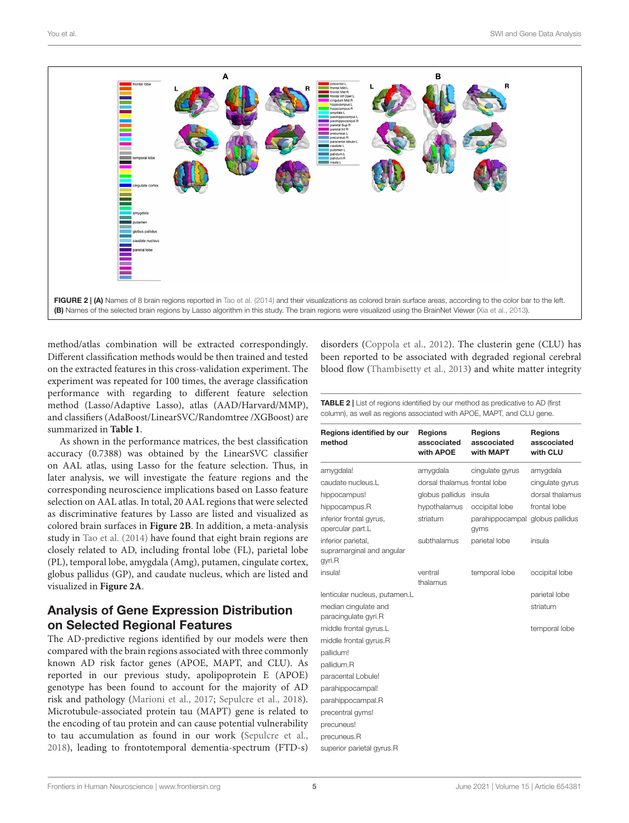

<span id="page-4-0"></span>method/atlas combination will be extracted correspondingly. Different classification methods would be then trained and tested on the extracted features in this cross-validation experiment. The experiment was repeated for 100 times, the average classification performance with regarding to different feature selection method (Lasso/Adaptive Lasso), atlas (AAD/Harvard/MMP), and classifiers (AdaBoost/LinearSVC/Randomtree /XGBoost) are summarized in **[Table 1](#page-3-1)**.

As shown in the performance matrices, the best classification accuracy (0.7388) was obtained by the LinearSVC classifier on AAL atlas, using Lasso for the feature selection. Thus, in later analysis, we will investigate the feature regions and the corresponding neuroscience implications based on Lasso feature selection on AAL atlas. In total, 20 AAL regions that were selected as discriminative features by Lasso are listed and visualized as colored brain surfaces in **[Figure 2B](#page-4-0)**. In addition, a meta-analysis study in [Tao et al.](#page-8-5) [\(2014\)](#page-8-5) have found that eight brain regions are closely related to AD, including frontal lobe (FL), parietal lobe (PL), temporal lobe, amygdala (Amg), putamen, cingulate cortex, globus pallidus (GP), and caudate nucleus, which are listed and visualized in **[Figure 2A](#page-4-0)**.

## Analysis of Gene Expression Distribution on Selected Regional Features

The AD-predictive regions identified by our models were then compared with the brain regions associated with three commonly known AD risk factor genes (APOE, MAPT, and CLU). As reported in our previous study, apolipoprotein E (APOE) genotype has been found to account for the majority of AD risk and pathology [\(Marioni et al.,](#page-7-32) [2017;](#page-7-32) [Sepulcre et al.,](#page-8-2) [2018\)](#page-8-2). Microtubule-associated protein tau (MAPT) gene is related to the encoding of tau protein and can cause potential vulnerability to tau accumulation as found in our work [\(Sepulcre et al.,](#page-8-2) [2018\)](#page-8-2), leading to frontotemporal dementia-spectrum (FTD-s)

disorders [\(Coppola et al.,](#page-7-33) [2012\)](#page-7-33). The clusterin gene (CLU) has been reported to be associated with degraded regional cerebral blood flow [\(Thambisetty et al.,](#page-8-14) [2013\)](#page-8-14) and white matter integrity

<span id="page-4-1"></span>TABLE 2 | List of regions identified by our method as predicative to AD (first column), as well as regions associated with APOE, MAPT, and CLU gene.

| Regions identified by our<br>method                       | <b>Regions</b><br>asscociated<br>with APOE | <b>Regions</b><br>asscociated<br>with MAPT | <b>Regions</b><br>asscociated<br>with CLU |
|-----------------------------------------------------------|--------------------------------------------|--------------------------------------------|-------------------------------------------|
| amygdala!                                                 | amygdala                                   | cingulate gyrus                            | amygdala                                  |
| caudate nucleus.L                                         | dorsal thalamus frontal lobe               |                                            | cingulate gyrus                           |
| hippocampus!                                              | globus pallidus                            | insula                                     | dorsal thalamus                           |
| hippocampus.R                                             | hypothalamus                               | occipital lobe                             | frontal lobe                              |
| inferior frontal gyrus,<br>opercular part.L               | striatum                                   | parahippocampal globus pallidus<br>gyms    |                                           |
| inferior parietal,<br>supramarginal and angular<br>gyri.R | subthalamus                                | parietal lobe                              | insula                                    |
| insula!                                                   | ventral<br>thalamus                        | temporal lobe                              | occipital lobe                            |
| lenticular nucleus, putamen.L                             |                                            |                                            | parietal lobe                             |
| median cingulate and                                      |                                            |                                            | striatum                                  |
| paracingulate gyri.R                                      |                                            |                                            |                                           |
| middle frontal gyrus.L                                    |                                            |                                            | temporal lobe                             |
| middle frontal gyrus.R                                    |                                            |                                            |                                           |
| pallidum!                                                 |                                            |                                            |                                           |
| pallidum.R                                                |                                            |                                            |                                           |
| paracental Lobule!                                        |                                            |                                            |                                           |
| parahippocampal!                                          |                                            |                                            |                                           |
| parahippocampal.R                                         |                                            |                                            |                                           |
| precentral gyms!                                          |                                            |                                            |                                           |
| precuneus!                                                |                                            |                                            |                                           |
| precuneus.R                                               |                                            |                                            |                                           |
| superior parietal gyrus.R                                 |                                            |                                            |                                           |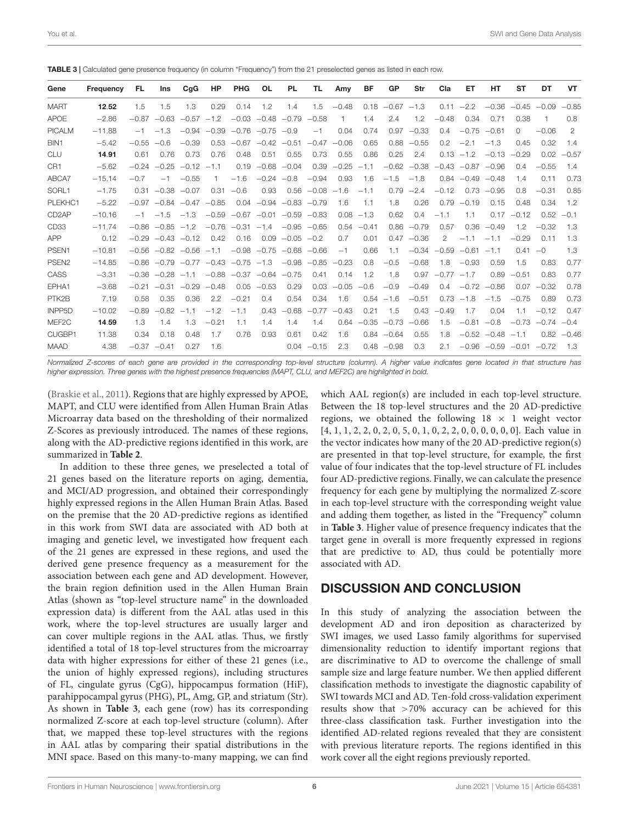| Gene                | <b>Frequency</b> | FL      | Ins                                            | C <sub>q</sub> G | HP      | <b>PHG</b>   | <b>OL</b>                       | <b>PL</b>     | TL             | Amy     | BF           | <b>GP</b>     | Str           | Cla            | ET                   | HT                              | ST       | DT                  | VT            |
|---------------------|------------------|---------|------------------------------------------------|------------------|---------|--------------|---------------------------------|---------------|----------------|---------|--------------|---------------|---------------|----------------|----------------------|---------------------------------|----------|---------------------|---------------|
| <b>MART</b>         | 12.52            | 1.5     | 1.5                                            | 1.3              | 0.29    | 0.14         | 1.2                             | 1.4           | 1.5            | $-0.48$ | 0.18         | $-0.67 -1.3$  |               |                | $0.11 - 2.2$         | $-0.36$                         |          | $-0.45 -0.09 -0.85$ |               |
| APOE                | $-2.86$          | $-0.87$ | $-0.63$                                        | $-0.57$          | $-1.2$  |              | $-0.03 -0.48$                   | $-0.79$       | $-0.58$        | 1       | 1.4          | 2.4           | 1.2           | $-0.48$        | 0.34                 | 0.71                            | 0.38     | -1                  | 0.8           |
| <b>PICALM</b>       | $-11.88$         | $-1$    | $-1.3$                                         | $-0.94$          | $-0.39$ |              | $-0.76 -0.75$                   | $-0.9$        | $-1$           | 0.04    | 0.74         | 0.97          | $-0.33$       | 0.4            | $-0.75$              | $-0.61$                         | $\Omega$ | $-0.06$             | 2             |
| BIN <sub>1</sub>    | $-5.42$          | $-0.55$ | $-0.6$                                         | $-0.39$          | 0.53    |              | $-0.67 -0.42$                   | $-0.51$       | $-0.47$        | $-0.06$ | 0.65         | 0.88          | $-0.55$       | 0.2            | $-2.1$               | $-1.3$                          | 0.45     | 0.32                | 1.4           |
| <b>CLU</b>          | 14.91            | 0.61    | 0.76                                           | 0.73             | 0.76    | 0.48         | 0.51                            | 0.55          | 0.73           | 0.55    | 0.86         | 0.25          | 2.4           |                | $0.13 - 1.2$         | $-0.13$                         | $-0.29$  | 0.02                | $-0.57$       |
| CR <sub>1</sub>     | $-5.62$          | $-0.24$ | $-0.25$                                        | $-0.12$          | $-1.1$  | 0.19         | $-0.68$                         | $-0.04$       | 0.39           | $-0.25$ | $-1.1$       |               | $-0.62 -0.38$ |                | $-0.43 -0.87$        | $-0.96$                         | 0.4      | $-0.55$             | 1.4           |
| ABCA7               | $-15.14$         | $-0.7$  | $-1$                                           | $-0.55$          |         | $-1.6$       | $-0.24$                         | $-0.8$        | $-0.94$        | 0.93    | 1.6          | $-1.5$        | $-1.8$        |                | $0.84 - 0.49 - 0.48$ |                                 | 1.4      | 0.11                | 0.73          |
| SORL1               | $-1.75$          | 0.31    | $-0.38$                                        | $-0.07$          | 0.31    | $-0.6$       | 0.93                            |               | $0.56 - 0.08$  | $-1.6$  | $-1.1$       | 0.79          | $-2.4$        | $-0.12$        | 0.73                 | $-0.95$                         | 0.8      | $-0.31$             | 0.85          |
| PLEKHC1             | $-5.22$          | $-0.97$ |                                                | $-0.84 -0.47$    | $-0.85$ |              | $0.04 -0.94 -0.83 -0.79$        |               |                | 1.6     | 1.1          | 1.8           | 0.26          | 0.79           | $-0.19$              | 0.15                            | 0.48     | 0.34                | 1.2           |
| CD <sub>2</sub> AP  | $-10.16$         | $-1$    | $-1.5$                                         | $-1.3$           | $-0.59$ |              | $-0.67$ $-0.01$ $-0.59$ $-0.83$ |               |                |         | $0.08 - 1.3$ | 0.62          | 0.4           | $-1.1$         | 1.1                  | 0.17                            | $-0.12$  | 0.52                | $-0.1$        |
| CD <sub>33</sub>    | $-11.74$         | $-0.86$ | $-0.85$                                        | $-1.2$           | $-0.76$ | $-0.31 -1.4$ |                                 |               | $-0.95 -0.65$  | 0.54    | $-0.41$      | 0.86          | $-0.79$       | 0.57           | 0.36                 | $-0.49$                         | 1.2      | $-0.32$             | 1.3           |
| <b>APP</b>          | 0.12             |         | $-0.29$ $-0.43$ $-0.12$                        |                  | 0.42    | 0.16         | 0.09                            | $-0.05 -0.2$  |                | 0.7     | 0.01         |               | $0.47 - 0.36$ | $\overline{2}$ | $-1.1$               | $-1.1$                          | $-0.29$  | 0.11                | 1.3           |
| PSEN1               | $-10.81$         |         | $-0.56$ $-0.82$ $-0.56$                        |                  | $-1.1$  |              | $-0.98 -0.75$                   |               | $-0.68 - 0.66$ | $-1$    | 0.66         | 1.1           | $-0.34$       | $-0.59$        | $-0.61$              | $-1.1$                          | 0.41     | $-0$                | 1.3           |
| PSEN <sub>2</sub>   | $-14.85$         |         | $-0.86$ $-0.79$ $-0.77$ $-0.43$ $-0.75$ $-1.3$ |                  |         |              |                                 | $-0.98 -0.85$ |                | $-0.23$ | 0.8          | $-0.5$        | $-0.68$       | 1.8            | $-0.93$              | 0.59                            | 1.5      | 0.83                | 0.77          |
| CASS                | $-3.31$          | $-0.36$ | $-0.28$                                        | $-1.1$           | $-0.88$ |              | $-0.37 -0.64 -0.75$             |               | 0.41           | 0.14    | 1.2          | 1.8           | 0.97          | $-0.77$        | $-1.7$               | 0.89                            | $-0.51$  | 0.83                | 0.77          |
| EPHA1               | $-3.68$          | $-0.21$ | $-0.31$                                        | $-0.29$          | $-0.48$ | 0.05         | $-0.53$                         | 0.29          | 0.03           | $-0.05$ | $-0.6$       | $-0.9$        | $-0.49$       | 0.4            | $-0.72$              | $-0.86$                         | 0.07     | $-0.32$             | 0.78          |
| PTK2B               | 7.19             | 0.58    | 0.35                                           | 0.36             | 2.2     | $-0.21$      | 0.4                             | 0.54          | 0.34           | 1.6     |              | $0.54 - 1.6$  | $-0.51$       |                | $0.73 - 1.8$         | $-1.5$                          | $-0.75$  | 0.89                | 0.73          |
| INPP <sub>5</sub> D | $-10.02$         | $-0.89$ | $-0.82$                                        | $-1.1$           | $-1.2$  | $-1.1$       | 0.43                            | $-0.68$       | $-0.77$        | $-0.43$ | 0.21         | 1.5           | 0.43          | $-0.49$        | 1.7                  | 0.04                            | 1.1      | $-0.12$             | 0.47          |
| MEF <sub>2C</sub>   | 14.59            | 1.3     | 1.4                                            | 1.3              | $-0.21$ | 1.1          | 1.4                             | 1.4           | 1.4            | 0.64    | $-0.35$      | $-0.73$       | $-0.66$       | 1.5            | $-0.81$              | $-0.8$                          | $-0.73$  | $-0.74$             | $-0.4$        |
| CUGBP1              | 11.38            | 0.34    | 0.18                                           | 0.48             | 1.7     | 0.76         | 0.93                            | 0.61          | 0.42           | 1.6     |              | $0.84 - 0.64$ | 0.55          | 1.8            |                      | $-0.52 -0.48 -1.1$              |          |                     | $0.82 - 0.46$ |
| <b>MAAD</b>         | 4.38             |         | $-0.37 -0.41$                                  | 0.27             | 1.6     |              |                                 |               | $0.04 -0.15$   | 2.3     |              | $0.48 - 0.98$ | 0.3           | 2.1            |                      | $-0.96$ $-0.59$ $-0.01$ $-0.72$ |          |                     | 1.3           |

<span id="page-5-0"></span>TABLE 3 | Calculated gene presence frequency (in column "Frequency") from the 21 preselected genes as listed in each row.

Normalized Z-scores of each gene are provided in the corresponding top-level structure (column). A higher value indicates gene located in that structure has higher expression. Three genes with the highest presence frequencies (MAPT, CLU, and MEF2C) are highlighted in bold.

[\(Braskie et al.,](#page-7-34) [2011\)](#page-7-34). Regions that are highly expressed by APOE, MAPT, and CLU were identified from Allen Human Brain Atlas Microarray data based on the thresholding of their normalized Z-Scores as previously introduced. The names of these regions, along with the AD-predictive regions identified in this work, are summarized in **[Table 2](#page-4-1)**.

In addition to these three genes, we preselected a total of 21 genes based on the literature reports on aging, dementia, and MCI/AD progression, and obtained their correspondingly highly expressed regions in the Allen Human Brain Atlas. Based on the premise that the 20 AD-predictive regions as identified in this work from SWI data are associated with AD both at imaging and genetic level, we investigated how frequent each of the 21 genes are expressed in these regions, and used the derived gene presence frequency as a measurement for the association between each gene and AD development. However, the brain region definition used in the Allen Human Brain Atlas (shown as "top-level structure name" in the downloaded expression data) is different from the AAL atlas used in this work, where the top-level structures are usually larger and can cover multiple regions in the AAL atlas. Thus, we firstly identified a total of 18 top-level structures from the microarray data with higher expressions for either of these 21 genes (i.e., the union of highly expressed regions), including structures of FL, cingulate gyrus (CgG), hippocampus formation (HiF), parahippocampal gyrus (PHG), PL, Amg, GP, and striatum (Str). As shown in **[Table 3](#page-5-0)**, each gene (row) has its corresponding normalized Z-score at each top-level structure (column). After that, we mapped these top-level structures with the regions in AAL atlas by comparing their spatial distributions in the MNI space. Based on this many-to-many mapping, we can find

which AAL region(s) are included in each top-level structure. Between the 18 top-level structures and the 20 AD-predictive regions, we obtained the following  $18 \times 1$  weight vector [4, 1, 1, 2, 2, 0, 2, 0, 5, 0, 1, 0, 2, 2, 0, 0, 0, 0, 0, 0]. Each value in the vector indicates how many of the 20 AD-predictive region(s) are presented in that top-level structure, for example, the first value of four indicates that the top-level structure of FL includes four AD-predictive regions. Finally, we can calculate the presence frequency for each gene by multiplying the normalized Z-score in each top-level structure with the corresponding weight value and adding them together, as listed in the "Frequency" column in **[Table 3](#page-5-0)**. Higher value of presence frequency indicates that the target gene in overall is more frequently expressed in regions that are predictive to AD, thus could be potentially more associated with AD.

## DISCUSSION AND CONCLUSION

In this study of analyzing the association between the development AD and iron deposition as characterized by SWI images, we used Lasso family algorithms for supervised dimensionality reduction to identify important regions that are discriminative to AD to overcome the challenge of small sample size and large feature number. We then applied different classification methods to investigate the diagnostic capability of SWI towards MCI and AD. Ten-fold cross-validation experiment results show that >70% accuracy can be achieved for this three-class classification task. Further investigation into the identified AD-related regions revealed that they are consistent with previous literature reports. The regions identified in this work cover all the eight regions previously reported.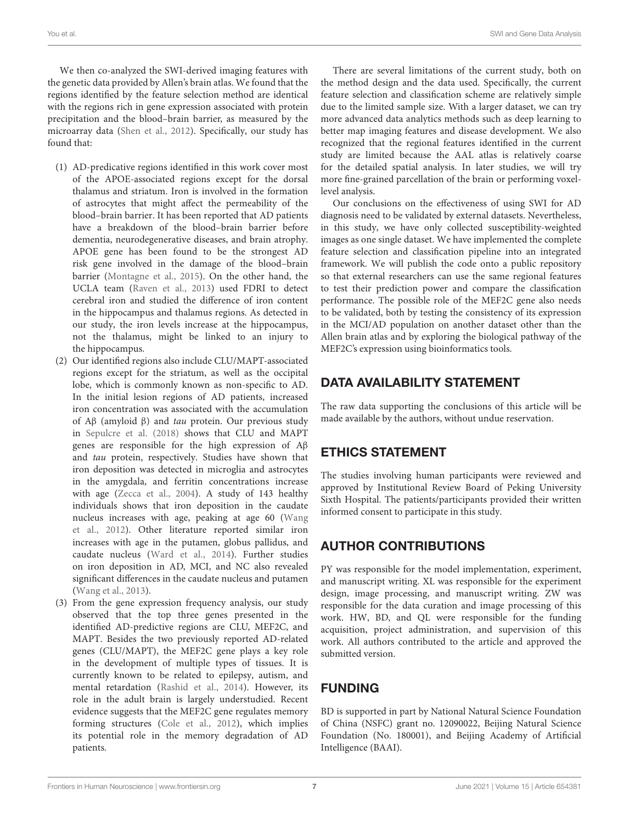We then co-analyzed the SWI-derived imaging features with the genetic data provided by Allen's brain atlas. We found that the regions identified by the feature selection method are identical with the regions rich in gene expression associated with protein precipitation and the blood–brain barrier, as measured by the microarray data [\(Shen et al.,](#page-8-12) [2012\)](#page-8-12). Specifically, our study has found that:

- (1) AD-predicative regions identified in this work cover most of the APOE-associated regions except for the dorsal thalamus and striatum. Iron is involved in the formation of astrocytes that might affect the permeability of the blood–brain barrier. It has been reported that AD patients have a breakdown of the blood–brain barrier before dementia, neurodegenerative diseases, and brain atrophy. APOE gene has been found to be the strongest AD risk gene involved in the damage of the blood–brain barrier [\(Montagne et al.,](#page-7-35) [2015\)](#page-7-35). On the other hand, the UCLA team [\(Raven et al.,](#page-7-36) [2013\)](#page-7-36) used FDRI to detect cerebral iron and studied the difference of iron content in the hippocampus and thalamus regions. As detected in our study, the iron levels increase at the hippocampus, not the thalamus, might be linked to an injury to the hippocampus.
- (2) Our identified regions also include CLU/MAPT-associated regions except for the striatum, as well as the occipital lobe, which is commonly known as non-specific to AD. In the initial lesion regions of AD patients, increased iron concentration was associated with the accumulation of Aβ (amyloid β) and tau protein. Our previous study in [Sepulcre et al.](#page-8-2) [\(2018\)](#page-8-2) shows that CLU and MAPT genes are responsible for the high expression of Aβ and tau protein, respectively. Studies have shown that iron deposition was detected in microglia and astrocytes in the amygdala, and ferritin concentrations increase with age [\(Zecca et al.,](#page-8-8) [2004\)](#page-8-8). A study of 143 healthy individuals shows that iron deposition in the caudate nucleus increases with age, peaking at age 60 [\(Wang](#page-8-15) [et al.,](#page-8-15) [2012\)](#page-8-15). Other literature reported similar iron increases with age in the putamen, globus pallidus, and caudate nucleus [\(Ward et al.,](#page-8-7) [2014\)](#page-8-7). Further studies on iron deposition in AD, MCI, and NC also revealed significant differences in the caudate nucleus and putamen [\(Wang et al.,](#page-8-16) [2013\)](#page-8-16).
- (3) From the gene expression frequency analysis, our study observed that the top three genes presented in the identified AD-predictive regions are CLU, MEF2C, and MAPT. Besides the two previously reported AD-related genes (CLU/MAPT), the MEF2C gene plays a key role in the development of multiple types of tissues. It is currently known to be related to epilepsy, autism, and mental retardation [\(Rashid et al.,](#page-7-37) [2014\)](#page-7-37). However, its role in the adult brain is largely understudied. Recent evidence suggests that the MEF2C gene regulates memory forming structures [\(Cole et al.,](#page-7-38) [2012\)](#page-7-38), which implies its potential role in the memory degradation of AD patients.

There are several limitations of the current study, both on the method design and the data used. Specifically, the current feature selection and classification scheme are relatively simple due to the limited sample size. With a larger dataset, we can try more advanced data analytics methods such as deep learning to better map imaging features and disease development. We also recognized that the regional features identified in the current study are limited because the AAL atlas is relatively coarse for the detailed spatial analysis. In later studies, we will try more fine-grained parcellation of the brain or performing voxellevel analysis.

Our conclusions on the effectiveness of using SWI for AD diagnosis need to be validated by external datasets. Nevertheless, in this study, we have only collected susceptibility-weighted images as one single dataset. We have implemented the complete feature selection and classification pipeline into an integrated framework. We will publish the code onto a public repository so that external researchers can use the same regional features to test their prediction power and compare the classification performance. The possible role of the MEF2C gene also needs to be validated, both by testing the consistency of its expression in the MCI/AD population on another dataset other than the Allen brain atlas and by exploring the biological pathway of the MEF2C's expression using bioinformatics tools.

## DATA AVAILABILITY STATEMENT

The raw data supporting the conclusions of this article will be made available by the authors, without undue reservation.

# ETHICS STATEMENT

The studies involving human participants were reviewed and approved by Institutional Review Board of Peking University Sixth Hospital. The patients/participants provided their written informed consent to participate in this study.

# AUTHOR CONTRIBUTIONS

PY was responsible for the model implementation, experiment, and manuscript writing. XL was responsible for the experiment design, image processing, and manuscript writing. ZW was responsible for the data curation and image processing of this work. HW, BD, and QL were responsible for the funding acquisition, project administration, and supervision of this work. All authors contributed to the article and approved the submitted version.

# FUNDING

BD is supported in part by National Natural Science Foundation of China (NSFC) grant no. 12090022, Beijing Natural Science Foundation (No. 180001), and Beijing Academy of Artificial Intelligence (BAAI).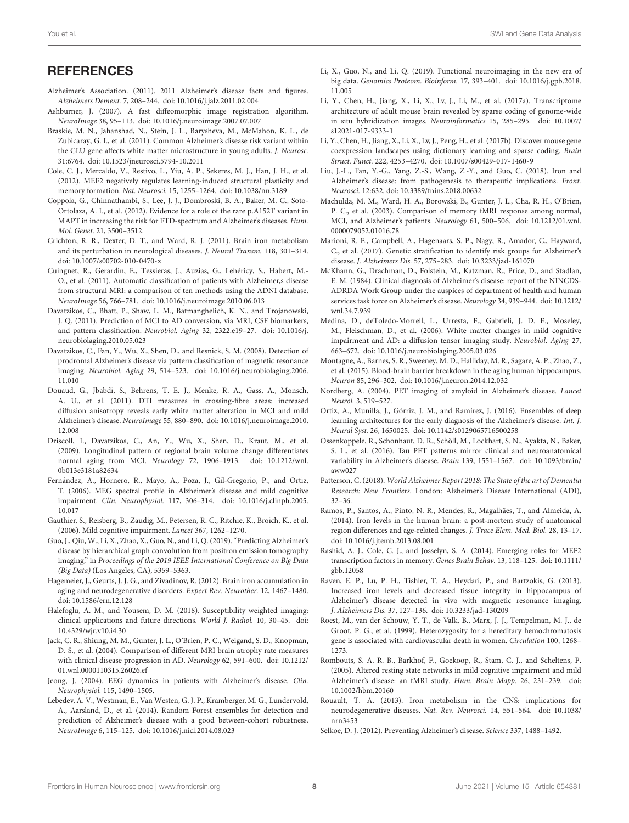## **REFERENCES**

- <span id="page-7-0"></span>Alzheimer's Association. (2011). 2011 Alzheimer's disease facts and figures. Alzheimers Dement. 7, 208–244. [doi: 10.1016/j.jalz.2011.02.004](https://doi.org/10.1016/j.jalz.2011.02.004)
- <span id="page-7-31"></span>Ashburner, J. (2007). A fast diffeomorphic image registration algorithm. NeuroImage 38, 95–113. [doi: 10.1016/j.neuroimage.2007.07.007](https://doi.org/10.1016/j.neuroimage.2007.07.007)
- <span id="page-7-34"></span>Braskie, M. N., Jahanshad, N., Stein, J. L., Barysheva, M., McMahon, K. L., de Zubicaray, G. I., et al. (2011). Common Alzheimer's disease risk variant within the CLU gene affects white matter microstructure in young adults. J. Neurosc. 31:6764. [doi: 10.1523/jneurosci.5794-10.2011](https://doi.org/10.1523/jneurosci.5794-10.2011)
- <span id="page-7-38"></span>Cole, C. J., Mercaldo, V., Restivo, L., Yiu, A. P., Sekeres, M. J., Han, J. H., et al. (2012). MEF2 negatively regulates learning-induced structural plasticity and memory formation. Nat. Neurosci. 15, 1255–1264. [doi: 10.1038/nn.3189](https://doi.org/10.1038/nn.3189)
- <span id="page-7-33"></span>Coppola, G., Chinnathambi, S., Lee, J. J., Dombroski, B. A., Baker, M. C., Soto-Ortolaza, A. I., et al. (2012). Evidence for a role of the rare p.A152T variant in MAPT in increasing the risk for FTD-spectrum and Alzheimer's diseases. Hum. Mol. Genet. 21, 3500–3512.
- <span id="page-7-24"></span>Crichton, R. R., Dexter, D. T., and Ward, R. J. (2011). Brain iron metabolism and its perturbation in neurological diseases. J. Neural Transm. 118, 301–314. [doi: 10.1007/s00702-010-0470-z](https://doi.org/10.1007/s00702-010-0470-z)
- <span id="page-7-4"></span>Cuingnet, R., Gerardin, E., Tessieras, J., Auzias, G., Lehéricy, S., Habert, M.- O., et al. (2011). Automatic classification of patients with Alzheimer,s disease from structural MRI: a comparison of ten methods using the ADNI database. NeuroImage 56, 766–781. [doi: 10.1016/j.neuroimage.2010.06.013](https://doi.org/10.1016/j.neuroimage.2010.06.013)
- <span id="page-7-6"></span>Davatzikos, C., Bhatt, P., Shaw, L. M., Batmanghelich, K. N., and Trojanowski, J. Q. (2011). Prediction of MCI to AD conversion, via MRI, CSF biomarkers, and pattern classification. Neurobiol. Aging 32, 2322.e19–27. [doi: 10.1016/j.](https://doi.org/10.1016/j.neurobiolaging.2010.05.023) [neurobiolaging.2010.05.023](https://doi.org/10.1016/j.neurobiolaging.2010.05.023)
- <span id="page-7-8"></span>Davatzikos, C., Fan, Y., Wu, X., Shen, D., and Resnick, S. M. (2008). Detection of prodromal Alzheimer's disease via pattern classification of magnetic resonance imaging. Neurobiol. Aging 29, 514–523. [doi: 10.1016/j.neurobiolaging.2006.](https://doi.org/10.1016/j.neurobiolaging.2006.11.010) [11.010](https://doi.org/10.1016/j.neurobiolaging.2006.11.010)
- <span id="page-7-9"></span>Douaud, G., Jbabdi, S., Behrens, T. E. J., Menke, R. A., Gass, A., Monsch, A. U., et al. (2011). DTI measures in crossing-fibre areas: increased diffusion anisotropy reveals early white matter alteration in MCI and mild Alzheimer's disease. NeuroImage 55, 880–890. [doi: 10.1016/j.neuroimage.2010.](https://doi.org/10.1016/j.neuroimage.2010.12.008) [12.008](https://doi.org/10.1016/j.neuroimage.2010.12.008)
- <span id="page-7-5"></span>Driscoll, I., Davatzikos, C., An, Y., Wu, X., Shen, D., Kraut, M., et al. (2009). Longitudinal pattern of regional brain volume change differentiates normal aging from MCI. Neurology 72, 1906–1913. [doi: 10.1212/wnl.](https://doi.org/10.1212/wnl.0b013e3181a82634) [0b013e3181a82634](https://doi.org/10.1212/wnl.0b013e3181a82634)
- <span id="page-7-14"></span>Fernández, A., Hornero, R., Mayo, A., Poza, J., Gil-Gregorio, P., and Ortiz, T. (2006). MEG spectral profile in Alzheimer's disease and mild cognitive impairment. Clin. Neurophysiol. 117, 306–314. [doi: 10.1016/j.clinph.2005.](https://doi.org/10.1016/j.clinph.2005.10.017) [10.017](https://doi.org/10.1016/j.clinph.2005.10.017)
- <span id="page-7-3"></span>Gauthier, S., Reisberg, B., Zaudig, M., Petersen, R. C., Ritchie, K., Broich, K., et al. (2006). Mild cognitive impairment. Lancet 367, 1262–1270.
- <span id="page-7-18"></span>Guo, J., Qiu, W., Li, X., Zhao, X., Guo, N., and Li, Q. (2019). "Predicting Alzheimer's disease by hierarchical graph convolution from positron emission tomography imaging," in Proceedings of the 2019 IEEE International Conference on Big Data (Big Data) (Los Angeles, CA), 5359–5363.
- <span id="page-7-23"></span>Hagemeier, J., Geurts, J. J. G., and Zivadinov, R. (2012). Brain iron accumulation in aging and neurodegenerative disorders. Expert Rev. Neurother. 12, 1467–1480. [doi: 10.1586/ern.12.128](https://doi.org/10.1586/ern.12.128)
- <span id="page-7-19"></span>Halefoglu, A. M., and Yousem, D. M. (2018). Susceptibility weighted imaging: clinical applications and future directions. World J. Radiol. 10, 30–45. [doi:](https://doi.org/10.4329/wjr.v10.i4.30) [10.4329/wjr.v10.i4.30](https://doi.org/10.4329/wjr.v10.i4.30)
- <span id="page-7-7"></span>Jack, C. R., Shiung, M. M., Gunter, J. L., O'Brien, P. C., Weigand, S. D., Knopman, D. S., et al. (2004). Comparison of different MRI brain atrophy rate measures with clinical disease progression in AD. Neurology 62, 591–600. [doi: 10.1212/](https://doi.org/10.1212/01.wnl.0000110315.26026.ef) [01.wnl.0000110315.26026.ef](https://doi.org/10.1212/01.wnl.0000110315.26026.ef)
- <span id="page-7-15"></span>Jeong, J. (2004). EEG dynamics in patients with Alzheimer's disease. Clin. Neurophysiol. 115, 1490–1505.
- <span id="page-7-26"></span>Lebedev, A. V., Westman, E., Van Westen, G. J. P., Kramberger, M. G., Lundervold, A., Aarsland, D., et al. (2014). Random Forest ensembles for detection and prediction of Alzheimer's disease with a good between-cohort robustness. NeuroImage 6, 115–125. [doi: 10.1016/j.nicl.2014.08.023](https://doi.org/10.1016/j.nicl.2014.08.023)
- <span id="page-7-11"></span>Li, X., Guo, N., and Li, Q. (2019). Functional neuroimaging in the new era of big data. Genomics Proteom. Bioinform. 17, 393–401. [doi: 10.1016/j.gpb.2018.](https://doi.org/10.1016/j.gpb.2018.11.005) [11.005](https://doi.org/10.1016/j.gpb.2018.11.005)
- <span id="page-7-29"></span>Li, Y., Chen, H., Jiang, X., Li, X., Lv, J., Li, M., et al. (2017a). Transcriptome architecture of adult mouse brain revealed by sparse coding of genome-wide in situ hybridization images. Neuroinformatics 15, 285–295. [doi: 10.1007/](https://doi.org/10.1007/s12021-017-9333-1) [s12021-017-9333-1](https://doi.org/10.1007/s12021-017-9333-1)
- <span id="page-7-30"></span>Li, Y., Chen, H., Jiang, X., Li, X., Lv, J., Peng, H., et al. (2017b). Discover mouse gene coexpression landscapes using dictionary learning and sparse coding. Brain Struct. Funct. 222, 4253–4270. [doi: 10.1007/s00429-017-1460-9](https://doi.org/10.1007/s00429-017-1460-9)
- <span id="page-7-20"></span>Liu, J.-L., Fan, Y.-G., Yang, Z.-S., Wang, Z.-Y., and Guo, C. (2018). Iron and Alzheimer's disease: from pathogenesis to therapeutic implications. Front. Neurosci. 12:632. [doi: 10.3389/fnins.2018.00632](https://doi.org/10.3389/fnins.2018.00632)
- <span id="page-7-13"></span>Machulda, M. M., Ward, H. A., Borowski, B., Gunter, J. L., Cha, R. H., O'Brien, P. C., et al. (2003). Comparison of memory fMRI response among normal, MCI, and Alzheimer's patients. Neurology 61, 500–506. [doi: 10.1212/01.wnl.](https://doi.org/10.1212/01.wnl.0000079052.01016.78) [0000079052.01016.78](https://doi.org/10.1212/01.wnl.0000079052.01016.78)
- <span id="page-7-32"></span>Marioni, R. E., Campbell, A., Hagenaars, S. P., Nagy, R., Amador, C., Hayward, C., et al. (2017). Genetic stratification to identify risk groups for Alzheimer's disease. J. Alzheimers Dis. 57, 275–283. [doi: 10.3233/jad-161070](https://doi.org/10.3233/jad-161070)
- <span id="page-7-28"></span>McKhann, G., Drachman, D., Folstein, M., Katzman, R., Price, D., and Stadlan, E. M. (1984). Clinical diagnosis of Alzheimer's disease: report of the NINCDS-ADRDA Work Group under the auspices of department of health and human services task force on Alzheimer's disease. Neurology 34, 939–944. [doi: 10.1212/](https://doi.org/10.1212/wnl.34.7.939) [wnl.34.7.939](https://doi.org/10.1212/wnl.34.7.939)
- <span id="page-7-10"></span>Medina, D., deToledo-Morrell, L., Urresta, F., Gabrieli, J. D. E., Moseley, M., Fleischman, D., et al. (2006). White matter changes in mild cognitive impairment and AD: a diffusion tensor imaging study. Neurobiol. Aging 27, 663–672. [doi: 10.1016/j.neurobiolaging.2005.03.026](https://doi.org/10.1016/j.neurobiolaging.2005.03.026)
- <span id="page-7-35"></span>Montagne, A., Barnes, S. R., Sweeney, M. D., Halliday, M. R., Sagare, A. P., Zhao, Z., et al. (2015). Blood-brain barrier breakdown in the aging human hippocampus. Neuron 85, 296–302. [doi: 10.1016/j.neuron.2014.12.032](https://doi.org/10.1016/j.neuron.2014.12.032)
- <span id="page-7-16"></span>Nordberg, A. (2004). PET imaging of amyloid in Alzheimer's disease. Lancet Neurol. 3, 519–527.
- <span id="page-7-27"></span>Ortiz, A., Munilla, J., Górriz, J. M., and Ramírez, J. (2016). Ensembles of deep learning architectures for the early diagnosis of the Alzheimer's disease. Int. J. Neural Syst. 26, 1650025. [doi: 10.1142/s0129065716500258](https://doi.org/10.1142/s0129065716500258)
- <span id="page-7-17"></span>Ossenkoppele, R., Schonhaut, D. R., Schöll, M., Lockhart, S. N., Ayakta, N., Baker, S. L., et al. (2016). Tau PET patterns mirror clinical and neuroanatomical variability in Alzheimer's disease. Brain 139, 1551–1567. [doi: 10.1093/brain/](https://doi.org/10.1093/brain/aww027) [aww027](https://doi.org/10.1093/brain/aww027)
- <span id="page-7-1"></span>Patterson, C. (2018). World Alzheimer Report 2018: The State of the art of Dementia Research: New Frontiers. London: Alzheimer's Disease International (ADI), 32–36.
- <span id="page-7-25"></span>Ramos, P., Santos, A., Pinto, N. R., Mendes, R., Magalhães, T., and Almeida, A. (2014). Iron levels in the human brain: a post-mortem study of anatomical region differences and age-related changes. J. Trace Elem. Med. Biol. 28, 13–17. [doi: 10.1016/j.jtemb.2013.08.001](https://doi.org/10.1016/j.jtemb.2013.08.001)
- <span id="page-7-37"></span>Rashid, A. J., Cole, C. J., and Josselyn, S. A. (2014). Emerging roles for MEF2 transcription factors in memory. Genes Brain Behav. 13, 118–125. [doi: 10.1111/](https://doi.org/10.1111/gbb.12058) [gbb.12058](https://doi.org/10.1111/gbb.12058)
- <span id="page-7-36"></span>Raven, E. P., Lu, P. H., Tishler, T. A., Heydari, P., and Bartzokis, G. (2013). Increased iron levels and decreased tissue integrity in hippocampus of Alzheimer's disease detected in vivo with magnetic resonance imaging. J. Alzheimers Dis. 37, 127–136. [doi: 10.3233/jad-130209](https://doi.org/10.3233/jad-130209)
- <span id="page-7-22"></span>Roest, M., van der Schouw, Y. T., de Valk, B., Marx, J. J., Tempelman, M. J., de Groot, P. G., et al. (1999). Heterozygosity for a hereditary hemochromatosis gene is associated with cardiovascular death in women. Circulation 100, 1268– 1273.
- <span id="page-7-12"></span>Rombouts, S. A. R. B., Barkhof, F., Goekoop, R., Stam, C. J., and Scheltens, P. (2005). Altered resting state networks in mild cognitive impairment and mild Alzheimer's disease: an fMRI study. Hum. Brain Mapp. 26, 231–239. [doi:](https://doi.org/10.1002/hbm.20160) [10.1002/hbm.20160](https://doi.org/10.1002/hbm.20160)
- <span id="page-7-21"></span>Rouault, T. A. (2013). Iron metabolism in the CNS: implications for neurodegenerative diseases. Nat. Rev. Neurosci. 14, 551–564. [doi: 10.1038/](https://doi.org/10.1038/nrn3453) [nrn3453](https://doi.org/10.1038/nrn3453)
- <span id="page-7-2"></span>Selkoe, D. J. (2012). Preventing Alzheimer's disease. Science 337, 1488–1492.